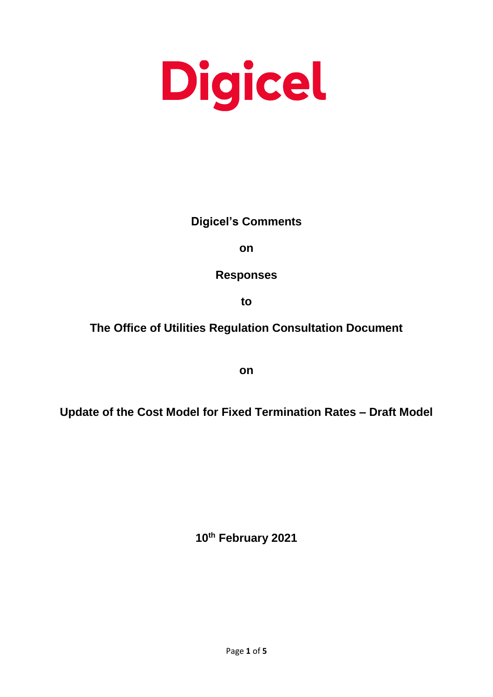# Digicel

# **Digicel's Comments**

**on**

**Responses** 

**to** 

# **The Office of Utilities Regulation Consultation Document**

**on**

**Update of the Cost Model for Fixed Termination Rates – Draft Model**

**10th February 2021**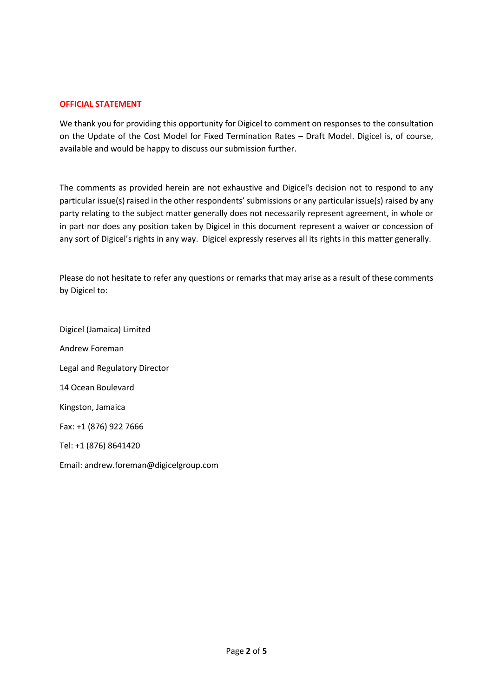# **OFFICIAL STATEMENT**

We thank you for providing this opportunity for Digicel to comment on responses to the consultation on the Update of the Cost Model for Fixed Termination Rates – Draft Model. Digicel is, of course, available and would be happy to discuss our submission further.

The comments as provided herein are not exhaustive and Digicel's decision not to respond to any particular issue(s) raised in the other respondents' submissions or any particular issue(s) raised by any party relating to the subject matter generally does not necessarily represent agreement, in whole or in part nor does any position taken by Digicel in this document represent a waiver or concession of any sort of Digicel's rights in any way. Digicel expressly reserves all its rights in this matter generally.

Please do not hesitate to refer any questions or remarks that may arise as a result of these comments by Digicel to:

Digicel (Jamaica) Limited Andrew Foreman Legal and Regulatory Director 14 Ocean Boulevard Kingston, Jamaica Fax: +1 (876) 922 7666 Tel: +1 (876) 8641420 Email: andrew.foreman@digicelgroup.com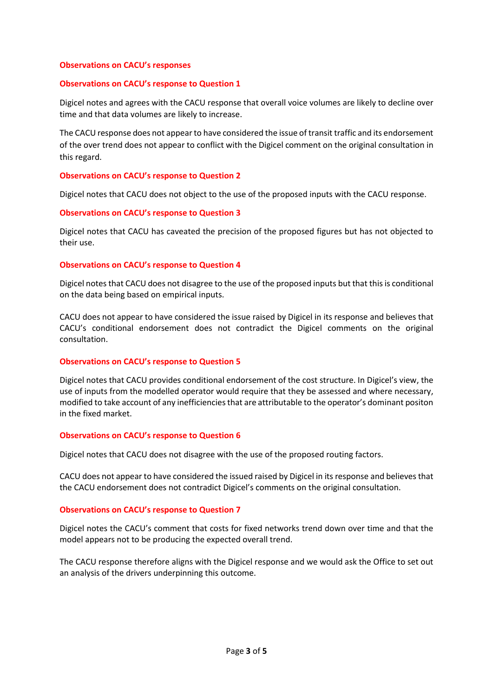# **Observations on CACU's responses**

# **Observations on CACU's response to Question 1**

Digicel notes and agrees with the CACU response that overall voice volumes are likely to decline over time and that data volumes are likely to increase.

The CACU response does not appear to have considered the issue of transit traffic and its endorsement of the over trend does not appear to conflict with the Digicel comment on the original consultation in this regard.

# **Observations on CACU's response to Question 2**

Digicel notes that CACU does not object to the use of the proposed inputs with the CACU response.

# **Observations on CACU's response to Question 3**

Digicel notes that CACU has caveated the precision of the proposed figures but has not objected to their use.

# **Observations on CACU's response to Question 4**

Digicel notes that CACU does not disagree to the use of the proposed inputs but that this is conditional on the data being based on empirical inputs.

CACU does not appear to have considered the issue raised by Digicel in its response and believes that CACU's conditional endorsement does not contradict the Digicel comments on the original consultation.

#### **Observations on CACU's response to Question 5**

Digicel notes that CACU provides conditional endorsement of the cost structure. In Digicel's view, the use of inputs from the modelled operator would require that they be assessed and where necessary, modified to take account of any inefficiencies that are attributable to the operator's dominant positon in the fixed market.

#### **Observations on CACU's response to Question 6**

Digicel notes that CACU does not disagree with the use of the proposed routing factors.

CACU does not appear to have considered the issued raised by Digicel in its response and believes that the CACU endorsement does not contradict Digicel's comments on the original consultation.

#### **Observations on CACU's response to Question 7**

Digicel notes the CACU's comment that costs for fixed networks trend down over time and that the model appears not to be producing the expected overall trend.

The CACU response therefore aligns with the Digicel response and we would ask the Office to set out an analysis of the drivers underpinning this outcome.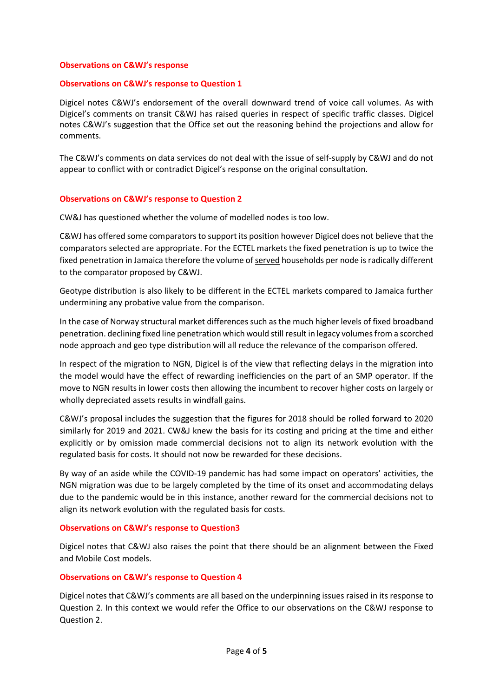# **Observations on C&WJ's response**

# **Observations on C&WJ's response to Question 1**

Digicel notes C&WJ's endorsement of the overall downward trend of voice call volumes. As with Digicel's comments on transit C&WJ has raised queries in respect of specific traffic classes. Digicel notes C&WJ's suggestion that the Office set out the reasoning behind the projections and allow for comments.

The C&WJ's comments on data services do not deal with the issue of self-supply by C&WJ and do not appear to conflict with or contradict Digicel's response on the original consultation.

# **Observations on C&WJ's response to Question 2**

CW&J has questioned whether the volume of modelled nodes is too low.

C&WJ has offered some comparators to support its position however Digicel does not believe that the comparators selected are appropriate. For the ECTEL markets the fixed penetration is up to twice the fixed penetration in Jamaica therefore the volume of served households per node is radically different to the comparator proposed by C&WJ.

Geotype distribution is also likely to be different in the ECTEL markets compared to Jamaica further undermining any probative value from the comparison.

In the case of Norway structural market differences such as the much higher levels of fixed broadband penetration. declining fixed line penetration which would still result in legacy volumes from a scorched node approach and geo type distribution will all reduce the relevance of the comparison offered.

In respect of the migration to NGN, Digicel is of the view that reflecting delays in the migration into the model would have the effect of rewarding inefficiencies on the part of an SMP operator. If the move to NGN results in lower costs then allowing the incumbent to recover higher costs on largely or wholly depreciated assets results in windfall gains.

C&WJ's proposal includes the suggestion that the figures for 2018 should be rolled forward to 2020 similarly for 2019 and 2021. CW&J knew the basis for its costing and pricing at the time and either explicitly or by omission made commercial decisions not to align its network evolution with the regulated basis for costs. It should not now be rewarded for these decisions.

By way of an aside while the COVID-19 pandemic has had some impact on operators' activities, the NGN migration was due to be largely completed by the time of its onset and accommodating delays due to the pandemic would be in this instance, another reward for the commercial decisions not to align its network evolution with the regulated basis for costs.

# **Observations on C&WJ's response to Question3**

Digicel notes that C&WJ also raises the point that there should be an alignment between the Fixed and Mobile Cost models.

# **Observations on C&WJ's response to Question 4**

Digicel notes that C&WJ's comments are all based on the underpinning issues raised in its response to Question 2. In this context we would refer the Office to our observations on the C&WJ response to Question 2.